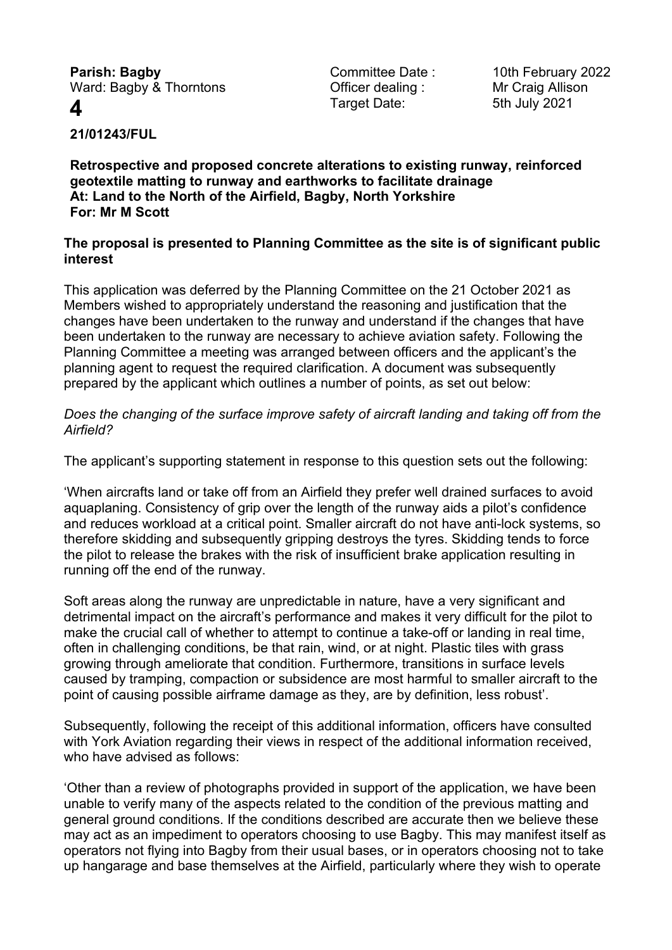**Parish: Bagby Committee Date : 10th February 2022** Ward: Bagby & Thorntons **Container Containg** : Mr Craig Allison

**4** Target Date: 5th July 2021

**21/01243/FUL**

**Retrospective and proposed concrete alterations to existing runway, reinforced geotextile matting to runway and earthworks to facilitate drainage At: Land to the North of the Airfield, Bagby, North Yorkshire For: Mr M Scott**

### **The proposal is presented to Planning Committee as the site is of significant public interest**

This application was deferred by the Planning Committee on the 21 October 2021 as Members wished to appropriately understand the reasoning and justification that the changes have been undertaken to the runway and understand if the changes that have been undertaken to the runway are necessary to achieve aviation safety. Following the Planning Committee a meeting was arranged between officers and the applicant's the planning agent to request the required clarification. A document was subsequently prepared by the applicant which outlines a number of points, as set out below:

*Does the changing of the surface improve safety of aircraft landing and taking off from the Airfield?*

The applicant's supporting statement in response to this question sets out the following:

'When aircrafts land or take off from an Airfield they prefer well drained surfaces to avoid aquaplaning. Consistency of grip over the length of the runway aids a pilot's confidence and reduces workload at a critical point. Smaller aircraft do not have anti-lock systems, so therefore skidding and subsequently gripping destroys the tyres. Skidding tends to force the pilot to release the brakes with the risk of insufficient brake application resulting in running off the end of the runway.

Soft areas along the runway are unpredictable in nature, have a very significant and detrimental impact on the aircraft's performance and makes it very difficult for the pilot to make the crucial call of whether to attempt to continue a take-off or landing in real time, often in challenging conditions, be that rain, wind, or at night. Plastic tiles with grass growing through ameliorate that condition. Furthermore, transitions in surface levels caused by tramping, compaction or subsidence are most harmful to smaller aircraft to the point of causing possible airframe damage as they, are by definition, less robust'.

Subsequently, following the receipt of this additional information, officers have consulted with York Aviation regarding their views in respect of the additional information received, who have advised as follows:

'Other than a review of photographs provided in support of the application, we have been unable to verify many of the aspects related to the condition of the previous matting and general ground conditions. If the conditions described are accurate then we believe these may act as an impediment to operators choosing to use Bagby. This may manifest itself as operators not flying into Bagby from their usual bases, or in operators choosing not to take up hangarage and base themselves at the Airfield, particularly where they wish to operate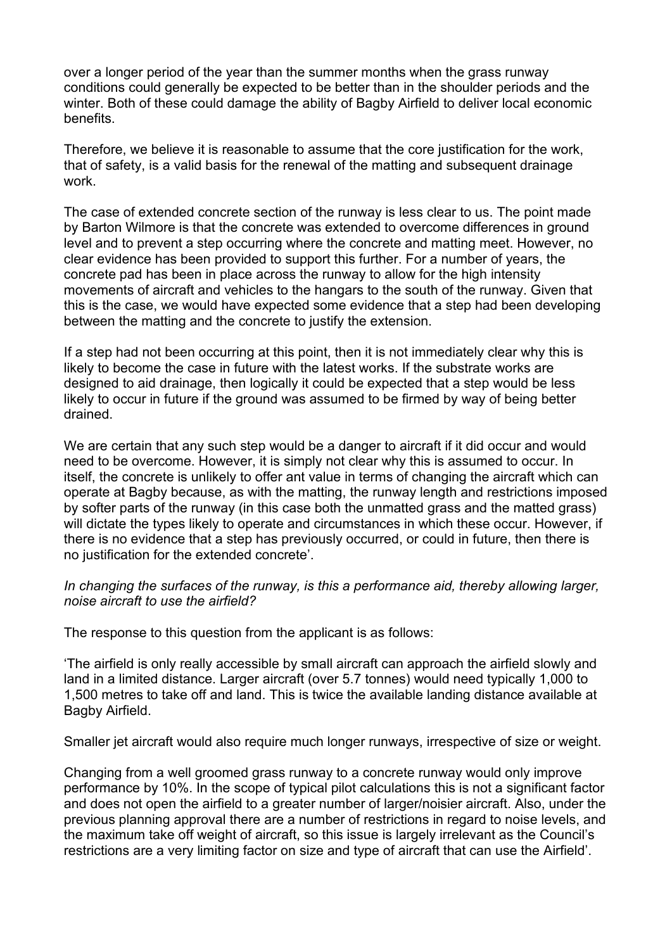over a longer period of the year than the summer months when the grass runway conditions could generally be expected to be better than in the shoulder periods and the winter. Both of these could damage the ability of Bagby Airfield to deliver local economic benefits.

Therefore, we believe it is reasonable to assume that the core justification for the work, that of safety, is a valid basis for the renewal of the matting and subsequent drainage work.

The case of extended concrete section of the runway is less clear to us. The point made by Barton Wilmore is that the concrete was extended to overcome differences in ground level and to prevent a step occurring where the concrete and matting meet. However, no clear evidence has been provided to support this further. For a number of years, the concrete pad has been in place across the runway to allow for the high intensity movements of aircraft and vehicles to the hangars to the south of the runway. Given that this is the case, we would have expected some evidence that a step had been developing between the matting and the concrete to justify the extension.

If a step had not been occurring at this point, then it is not immediately clear why this is likely to become the case in future with the latest works. If the substrate works are designed to aid drainage, then logically it could be expected that a step would be less likely to occur in future if the ground was assumed to be firmed by way of being better drained.

We are certain that any such step would be a danger to aircraft if it did occur and would need to be overcome. However, it is simply not clear why this is assumed to occur. In itself, the concrete is unlikely to offer ant value in terms of changing the aircraft which can operate at Bagby because, as with the matting, the runway length and restrictions imposed by softer parts of the runway (in this case both the unmatted grass and the matted grass) will dictate the types likely to operate and circumstances in which these occur. However, if there is no evidence that a step has previously occurred, or could in future, then there is no justification for the extended concrete'.

### *In changing the surfaces of the runway, is this a performance aid, thereby allowing larger, noise aircraft to use the airfield?*

The response to this question from the applicant is as follows:

'The airfield is only really accessible by small aircraft can approach the airfield slowly and land in a limited distance. Larger aircraft (over 5.7 tonnes) would need typically 1,000 to 1,500 metres to take off and land. This is twice the available landing distance available at Bagby Airfield.

Smaller jet aircraft would also require much longer runways, irrespective of size or weight.

Changing from a well groomed grass runway to a concrete runway would only improve performance by 10%. In the scope of typical pilot calculations this is not a significant factor and does not open the airfield to a greater number of larger/noisier aircraft. Also, under the previous planning approval there are a number of restrictions in regard to noise levels, and the maximum take off weight of aircraft, so this issue is largely irrelevant as the Council's restrictions are a very limiting factor on size and type of aircraft that can use the Airfield'.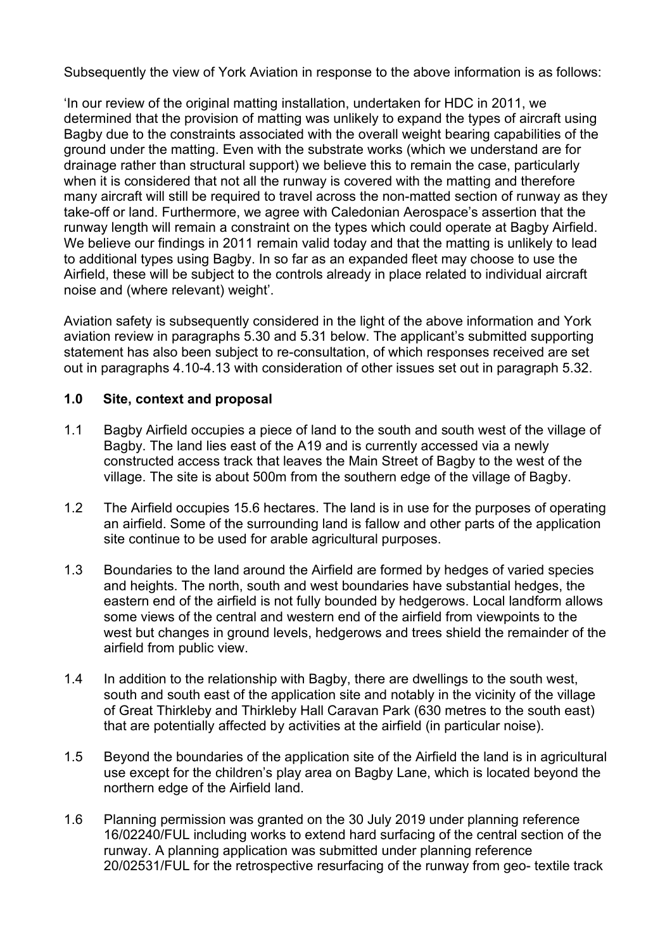Subsequently the view of York Aviation in response to the above information is as follows:

'In our review of the original matting installation, undertaken for HDC in 2011, we determined that the provision of matting was unlikely to expand the types of aircraft using Bagby due to the constraints associated with the overall weight bearing capabilities of the ground under the matting. Even with the substrate works (which we understand are for drainage rather than structural support) we believe this to remain the case, particularly when it is considered that not all the runway is covered with the matting and therefore many aircraft will still be required to travel across the non-matted section of runway as they take-off or land. Furthermore, we agree with Caledonian Aerospace's assertion that the runway length will remain a constraint on the types which could operate at Bagby Airfield. We believe our findings in 2011 remain valid today and that the matting is unlikely to lead to additional types using Bagby. In so far as an expanded fleet may choose to use the Airfield, these will be subject to the controls already in place related to individual aircraft noise and (where relevant) weight'.

Aviation safety is subsequently considered in the light of the above information and York aviation review in paragraphs 5.30 and 5.31 below. The applicant's submitted supporting statement has also been subject to re-consultation, of which responses received are set out in paragraphs 4.10-4.13 with consideration of other issues set out in paragraph 5.32.

### **1.0 Site, context and proposal**

- 1.1 Bagby Airfield occupies a piece of land to the south and south west of the village of Bagby. The land lies east of the A19 and is currently accessed via a newly constructed access track that leaves the Main Street of Bagby to the west of the village. The site is about 500m from the southern edge of the village of Bagby.
- 1.2 The Airfield occupies 15.6 hectares. The land is in use for the purposes of operating an airfield. Some of the surrounding land is fallow and other parts of the application site continue to be used for arable agricultural purposes.
- 1.3 Boundaries to the land around the Airfield are formed by hedges of varied species and heights. The north, south and west boundaries have substantial hedges, the eastern end of the airfield is not fully bounded by hedgerows. Local landform allows some views of the central and western end of the airfield from viewpoints to the west but changes in ground levels, hedgerows and trees shield the remainder of the airfield from public view.
- 1.4 In addition to the relationship with Bagby, there are dwellings to the south west, south and south east of the application site and notably in the vicinity of the village of Great Thirkleby and Thirkleby Hall Caravan Park (630 metres to the south east) that are potentially affected by activities at the airfield (in particular noise).
- 1.5 Beyond the boundaries of the application site of the Airfield the land is in agricultural use except for the children's play area on Bagby Lane, which is located beyond the northern edge of the Airfield land.
- 1.6 Planning permission was granted on the 30 July 2019 under planning reference 16/02240/FUL including works to extend hard surfacing of the central section of the runway. A planning application was submitted under planning reference 20/02531/FUL for the retrospective resurfacing of the runway from geo- textile track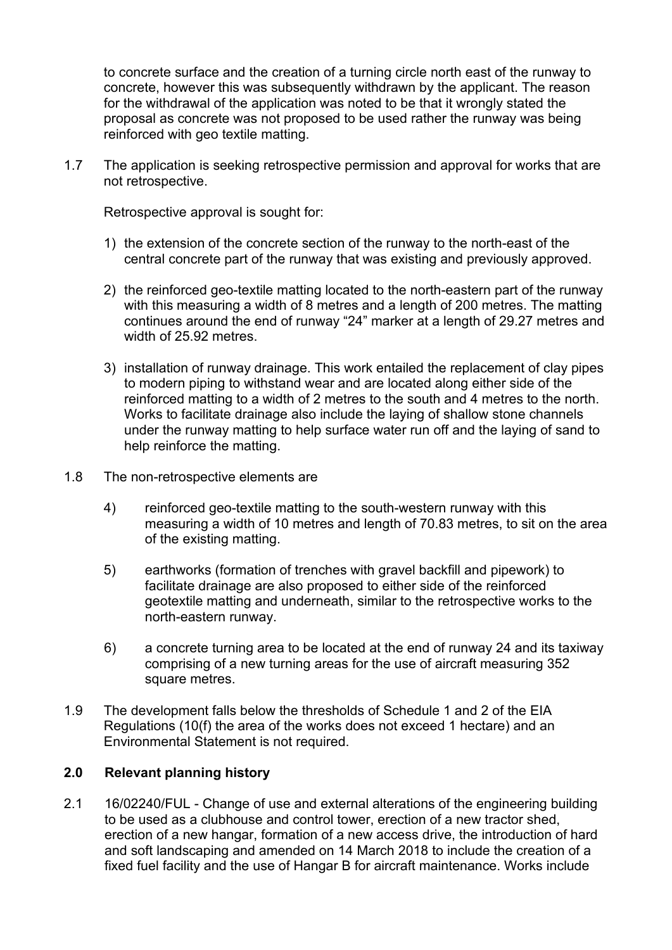to concrete surface and the creation of a turning circle north east of the runway to concrete, however this was subsequently withdrawn by the applicant. The reason for the withdrawal of the application was noted to be that it wrongly stated the proposal as concrete was not proposed to be used rather the runway was being reinforced with geo textile matting.

1.7 The application is seeking retrospective permission and approval for works that are not retrospective.

Retrospective approval is sought for:

- 1) the extension of the concrete section of the runway to the north-east of the central concrete part of the runway that was existing and previously approved.
- 2) the reinforced geo-textile matting located to the north-eastern part of the runway with this measuring a width of 8 metres and a length of 200 metres. The matting continues around the end of runway "24" marker at a length of 29.27 metres and width of 25.92 metres.
- 3) installation of runway drainage. This work entailed the replacement of clay pipes to modern piping to withstand wear and are located along either side of the reinforced matting to a width of 2 metres to the south and 4 metres to the north. Works to facilitate drainage also include the laying of shallow stone channels under the runway matting to help surface water run off and the laying of sand to help reinforce the matting.
- 1.8 The non-retrospective elements are
	- 4) reinforced geo-textile matting to the south-western runway with this measuring a width of 10 metres and length of 70.83 metres, to sit on the area of the existing matting.
	- 5) earthworks (formation of trenches with gravel backfill and pipework) to facilitate drainage are also proposed to either side of the reinforced geotextile matting and underneath, similar to the retrospective works to the north-eastern runway.
	- 6) a concrete turning area to be located at the end of runway 24 and its taxiway comprising of a new turning areas for the use of aircraft measuring 352 square metres.
- 1.9 The development falls below the thresholds of Schedule 1 and 2 of the EIA Regulations (10(f) the area of the works does not exceed 1 hectare) and an Environmental Statement is not required.

# **2.0 Relevant planning history**

2.1 16/02240/FUL - Change of use and external alterations of the engineering building to be used as a clubhouse and control tower, erection of a new tractor shed, erection of a new hangar, formation of a new access drive, the introduction of hard and soft landscaping and amended on 14 March 2018 to include the creation of a fixed fuel facility and the use of Hangar B for aircraft maintenance. Works include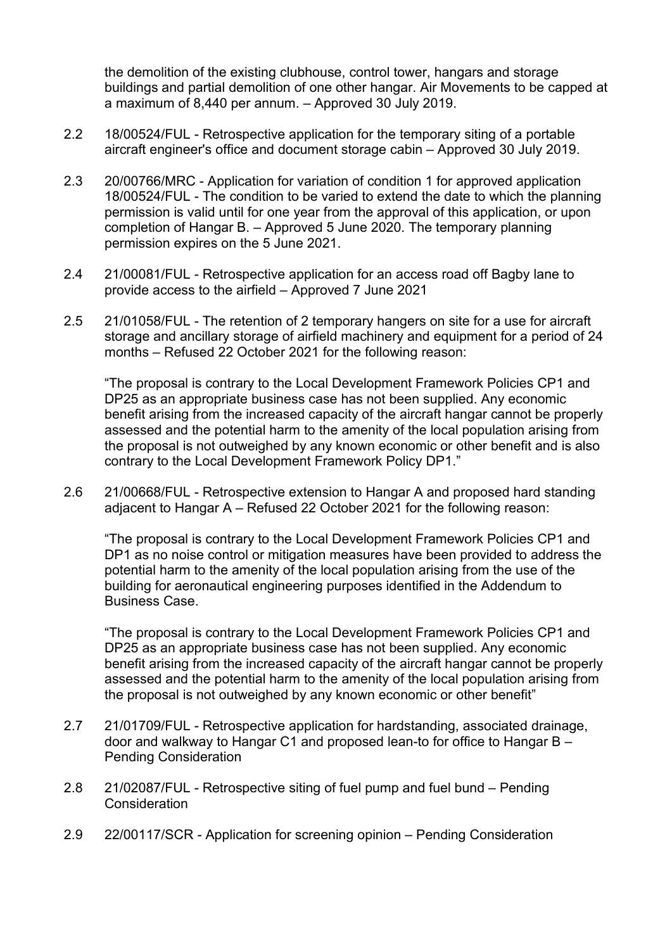the demolition of the existing clubhouse, control tower, hangars and storage buildings and partial demolition of one other hangar. Air Movements to be capped at a maximum of 8,440 per annum. – Approved 30 July 2019.

- 2.2 18/00524/FUL Retrospective application for the temporary siting of a portable aircraft engineer's office and document storage cabin – Approved 30 July 2019.
- 2.3 20/00766/MRC Application for variation of condition 1 for approved application 18/00524/FUL - The condition to be varied to extend the date to which the planning permission is valid until for one year from the approval of this application, or upon completion of Hangar B. – Approved 5 June 2020. The temporary planning permission expires on the 5 June 2021.
- 2.4 21/00081/FUL Retrospective application for an access road off Bagby lane to provide access to the airfield – Approved 7 June 2021
- 2.5 21/01058/FUL The retention of 2 temporary hangers on site for a use for aircraft storage and ancillary storage of airfield machinery and equipment for a period of 24 months – Refused 22 October 2021 for the following reason:

"The proposal is contrary to the Local Development Framework Policies CP1 and DP25 as an appropriate business case has not been supplied. Any economic benefit arising from the increased capacity of the aircraft hangar cannot be properly assessed and the potential harm to the amenity of the local population arising from the proposal is not outweighed by any known economic or other benefit and is also contrary to the Local Development Framework Policy DP1."

2.6 21/00668/FUL - Retrospective extension to Hangar A and proposed hard standing adjacent to Hangar A – Refused 22 October 2021 for the following reason:

"The proposal is contrary to the Local Development Framework Policies CP1 and DP1 as no noise control or mitigation measures have been provided to address the potential harm to the amenity of the local population arising from the use of the building for aeronautical engineering purposes identified in the Addendum to Business Case.

"The proposal is contrary to the Local Development Framework Policies CP1 and DP25 as an appropriate business case has not been supplied. Any economic benefit arising from the increased capacity of the aircraft hangar cannot be properly assessed and the potential harm to the amenity of the local population arising from the proposal is not outweighed by any known economic or other benefit"

- 2.7 21/01709/FUL Retrospective application for hardstanding, associated drainage, door and walkway to Hangar C1 and proposed lean-to for office to Hangar B – Pending Consideration
- 2.8 21/02087/FUL Retrospective siting of fuel pump and fuel bund Pending **Consideration**
- 2.9 22/00117/SCR Application for screening opinion Pending Consideration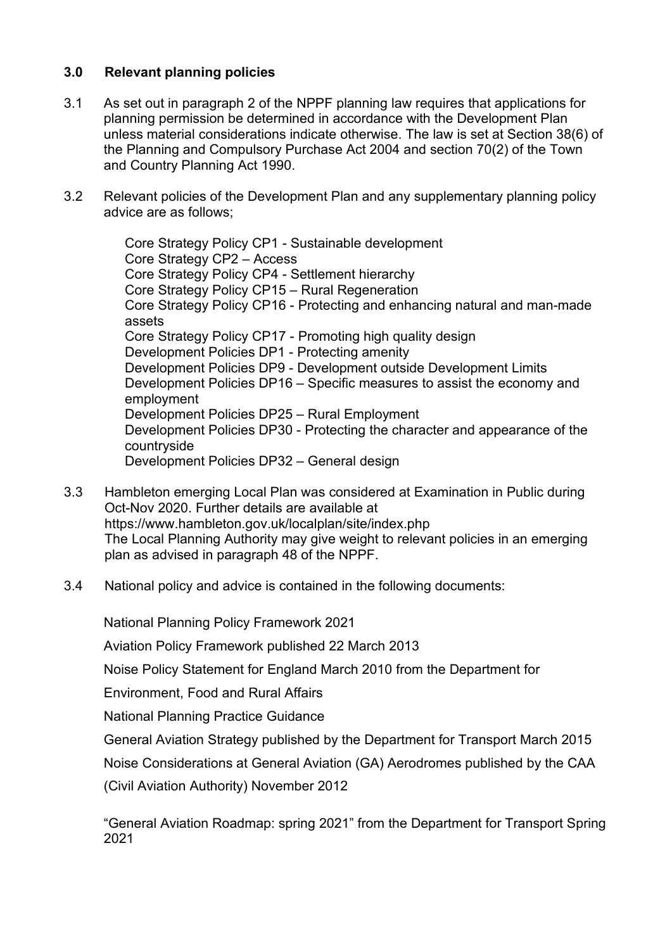# **3.0 Relevant planning policies**

- 3.1 As set out in paragraph 2 of the NPPF planning law requires that applications for planning permission be determined in accordance with the Development Plan unless material considerations indicate otherwise. The law is set at Section 38(6) of the Planning and Compulsory Purchase Act 2004 and section 70(2) of the Town and Country Planning Act 1990.
- 3.2 Relevant policies of the Development Plan and any supplementary planning policy advice are as follows;

Core Strategy Policy CP1 - Sustainable development Core Strategy CP2 – Access Core Strategy Policy CP4 - Settlement hierarchy Core Strategy Policy CP15 – Rural Regeneration Core Strategy Policy CP16 - Protecting and enhancing natural and man-made assets Core Strategy Policy CP17 - Promoting high quality design Development Policies DP1 - Protecting amenity Development Policies DP9 - Development outside Development Limits Development Policies DP16 – Specific measures to assist the economy and employment Development Policies DP25 – Rural Employment Development Policies DP30 - Protecting the character and appearance of the countryside Development Policies DP32 – General design

- 3.3 Hambleton emerging Local Plan was considered at Examination in Public during Oct-Nov 2020. Further details are available at https://www.hambleton.gov.uk/localplan/site/index.php The Local Planning Authority may give weight to relevant policies in an emerging plan as advised in paragraph 48 of the NPPF.
- 3.4 National policy and advice is contained in the following documents:

National Planning Policy Framework 2021

Aviation Policy Framework published 22 March 2013

Noise Policy Statement for England March 2010 from the Department for

Environment, Food and Rural Affairs

National Planning Practice Guidance

General Aviation Strategy published by the Department for Transport March 2015

Noise Considerations at General Aviation (GA) Aerodromes published by the CAA

(Civil Aviation Authority) November 2012

"General Aviation Roadmap: spring 2021" from the Department for Transport Spring 2021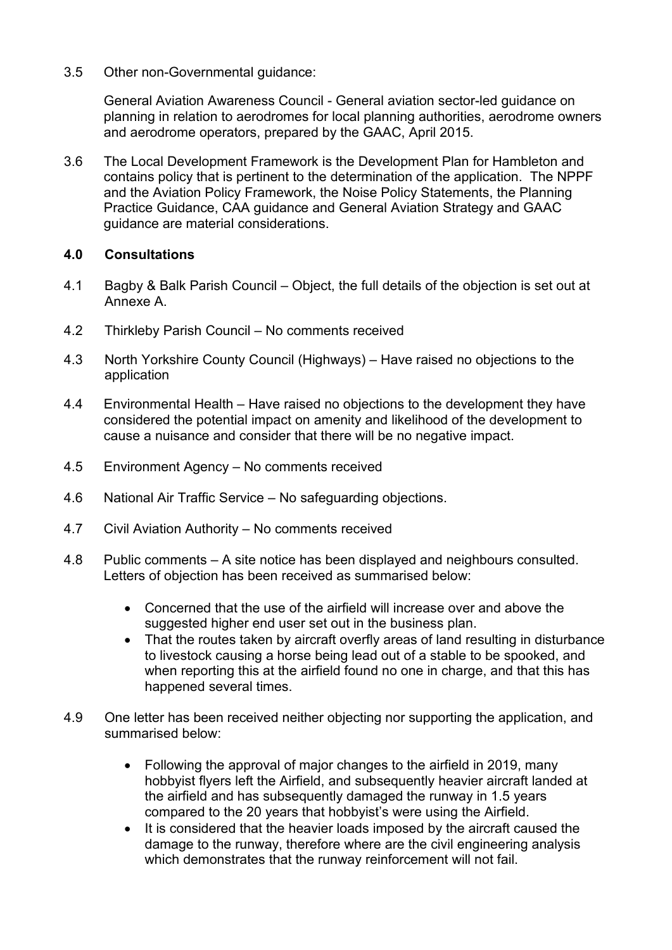3.5 Other non-Governmental guidance:

General Aviation Awareness Council - General aviation sector-led guidance on planning in relation to aerodromes for local planning authorities, aerodrome owners and aerodrome operators, prepared by the GAAC, April 2015.

3.6 The Local Development Framework is the Development Plan for Hambleton and contains policy that is pertinent to the determination of the application. The NPPF and the Aviation Policy Framework, the Noise Policy Statements, the Planning Practice Guidance, CAA guidance and General Aviation Strategy and GAAC guidance are material considerations.

### **4.0 Consultations**

- 4.1 Bagby & Balk Parish Council Object, the full details of the objection is set out at Annexe A.
- 4.2 Thirkleby Parish Council No comments received
- 4.3 North Yorkshire County Council (Highways) Have raised no objections to the application
- 4.4 Environmental Health Have raised no objections to the development they have considered the potential impact on amenity and likelihood of the development to cause a nuisance and consider that there will be no negative impact.
- 4.5 Environment Agency No comments received
- 4.6 National Air Traffic Service No safeguarding objections.
- 4.7 Civil Aviation Authority No comments received
- 4.8 Public comments A site notice has been displayed and neighbours consulted. Letters of objection has been received as summarised below:
	- Concerned that the use of the airfield will increase over and above the suggested higher end user set out in the business plan.
	- That the routes taken by aircraft overfly areas of land resulting in disturbance to livestock causing a horse being lead out of a stable to be spooked, and when reporting this at the airfield found no one in charge, and that this has happened several times.
- 4.9 One letter has been received neither objecting nor supporting the application, and summarised below:
	- Following the approval of major changes to the airfield in 2019, many hobbyist flyers left the Airfield, and subsequently heavier aircraft landed at the airfield and has subsequently damaged the runway in 1.5 years compared to the 20 years that hobbyist's were using the Airfield.
	- It is considered that the heavier loads imposed by the aircraft caused the damage to the runway, therefore where are the civil engineering analysis which demonstrates that the runway reinforcement will not fail.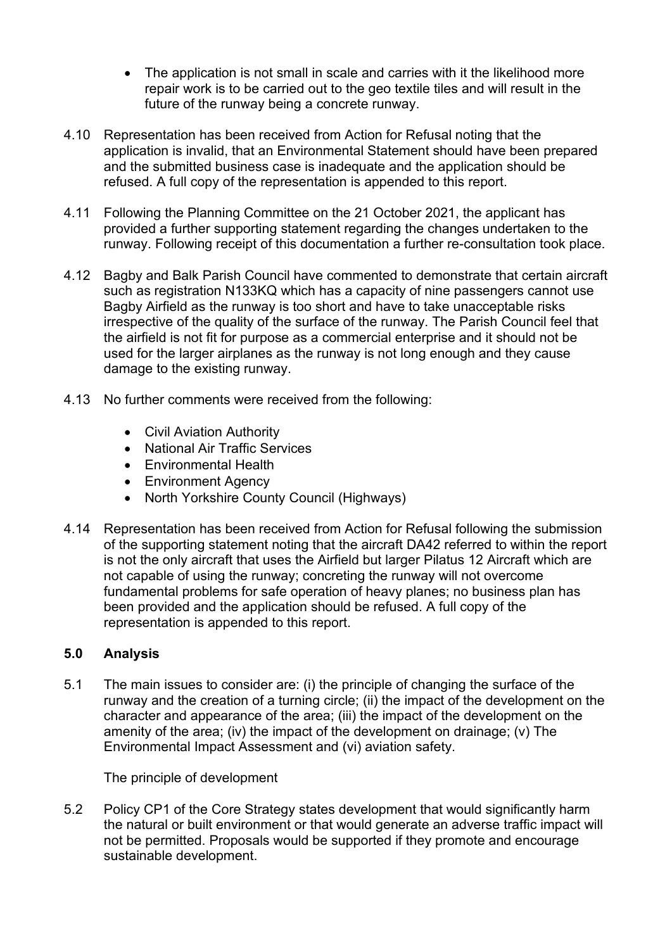- The application is not small in scale and carries with it the likelihood more repair work is to be carried out to the geo textile tiles and will result in the future of the runway being a concrete runway.
- 4.10 Representation has been received from Action for Refusal noting that the application is invalid, that an Environmental Statement should have been prepared and the submitted business case is inadequate and the application should be refused. A full copy of the representation is appended to this report.
- 4.11 Following the Planning Committee on the 21 October 2021, the applicant has provided a further supporting statement regarding the changes undertaken to the runway. Following receipt of this documentation a further re-consultation took place.
- 4.12 Bagby and Balk Parish Council have commented to demonstrate that certain aircraft such as registration N133KQ which has a capacity of nine passengers cannot use Bagby Airfield as the runway is too short and have to take unacceptable risks irrespective of the quality of the surface of the runway. The Parish Council feel that the airfield is not fit for purpose as a commercial enterprise and it should not be used for the larger airplanes as the runway is not long enough and they cause damage to the existing runway.
- 4.13 No further comments were received from the following:
	- Civil Aviation Authority
	- National Air Traffic Services
	- Environmental Health
	- Environment Agency
	- North Yorkshire County Council (Highways)
- 4.14 Representation has been received from Action for Refusal following the submission of the supporting statement noting that the aircraft DA42 referred to within the report is not the only aircraft that uses the Airfield but larger Pilatus 12 Aircraft which are not capable of using the runway; concreting the runway will not overcome fundamental problems for safe operation of heavy planes; no business plan has been provided and the application should be refused. A full copy of the representation is appended to this report.

### **5.0 Analysis**

5.1 The main issues to consider are: (i) the principle of changing the surface of the runway and the creation of a turning circle; (ii) the impact of the development on the character and appearance of the area; (iii) the impact of the development on the amenity of the area; (iv) the impact of the development on drainage; (v) The Environmental Impact Assessment and (vi) aviation safety.

The principle of development

5.2 Policy CP1 of the Core Strategy states development that would significantly harm the natural or built environment or that would generate an adverse traffic impact will not be permitted. Proposals would be supported if they promote and encourage sustainable development.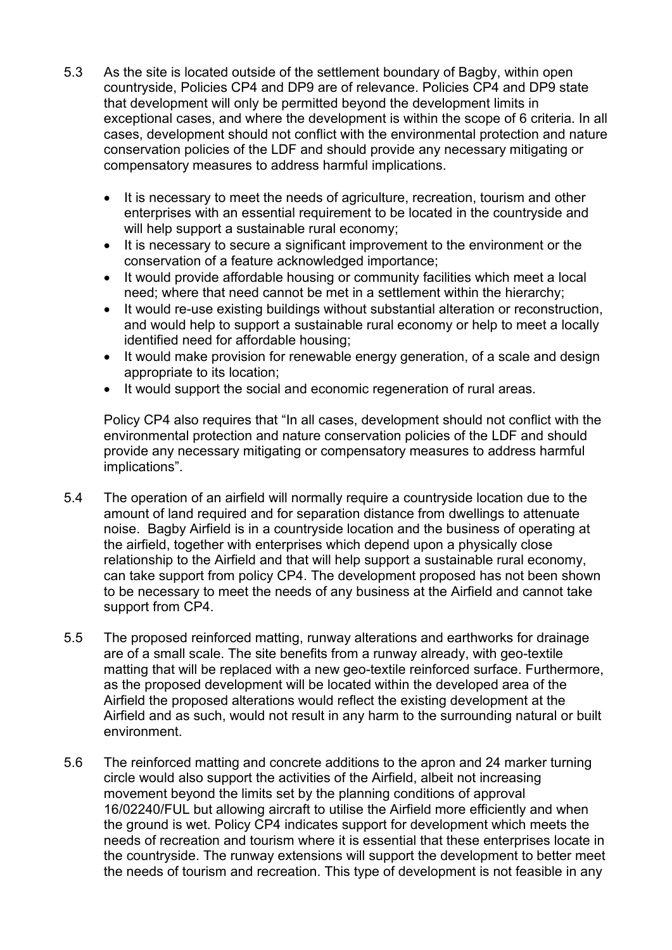- 5.3 As the site is located outside of the settlement boundary of Bagby, within open countryside, Policies CP4 and DP9 are of relevance. Policies CP4 and DP9 state that development will only be permitted beyond the development limits in exceptional cases, and where the development is within the scope of 6 criteria. In all cases, development should not conflict with the environmental protection and nature conservation policies of the LDF and should provide any necessary mitigating or compensatory measures to address harmful implications.
	- It is necessary to meet the needs of agriculture, recreation, tourism and other enterprises with an essential requirement to be located in the countryside and will help support a sustainable rural economy;
	- It is necessary to secure a significant improvement to the environment or the conservation of a feature acknowledged importance;
	- It would provide affordable housing or community facilities which meet a local need; where that need cannot be met in a settlement within the hierarchy;
	- It would re-use existing buildings without substantial alteration or reconstruction, and would help to support a sustainable rural economy or help to meet a locally identified need for affordable housing;
	- It would make provision for renewable energy generation, of a scale and design appropriate to its location;
	- It would support the social and economic regeneration of rural areas.

Policy CP4 also requires that "In all cases, development should not conflict with the environmental protection and nature conservation policies of the LDF and should provide any necessary mitigating or compensatory measures to address harmful implications".

- 5.4 The operation of an airfield will normally require a countryside location due to the amount of land required and for separation distance from dwellings to attenuate noise. Bagby Airfield is in a countryside location and the business of operating at the airfield, together with enterprises which depend upon a physically close relationship to the Airfield and that will help support a sustainable rural economy, can take support from policy CP4. The development proposed has not been shown to be necessary to meet the needs of any business at the Airfield and cannot take support from CP4.
- 5.5 The proposed reinforced matting, runway alterations and earthworks for drainage are of a small scale. The site benefits from a runway already, with geo-textile matting that will be replaced with a new geo-textile reinforced surface. Furthermore, as the proposed development will be located within the developed area of the Airfield the proposed alterations would reflect the existing development at the Airfield and as such, would not result in any harm to the surrounding natural or built environment.
- 5.6 The reinforced matting and concrete additions to the apron and 24 marker turning circle would also support the activities of the Airfield, albeit not increasing movement beyond the limits set by the planning conditions of approval 16/02240/FUL but allowing aircraft to utilise the Airfield more efficiently and when the ground is wet. Policy CP4 indicates support for development which meets the needs of recreation and tourism where it is essential that these enterprises locate in the countryside. The runway extensions will support the development to better meet the needs of tourism and recreation. This type of development is not feasible in any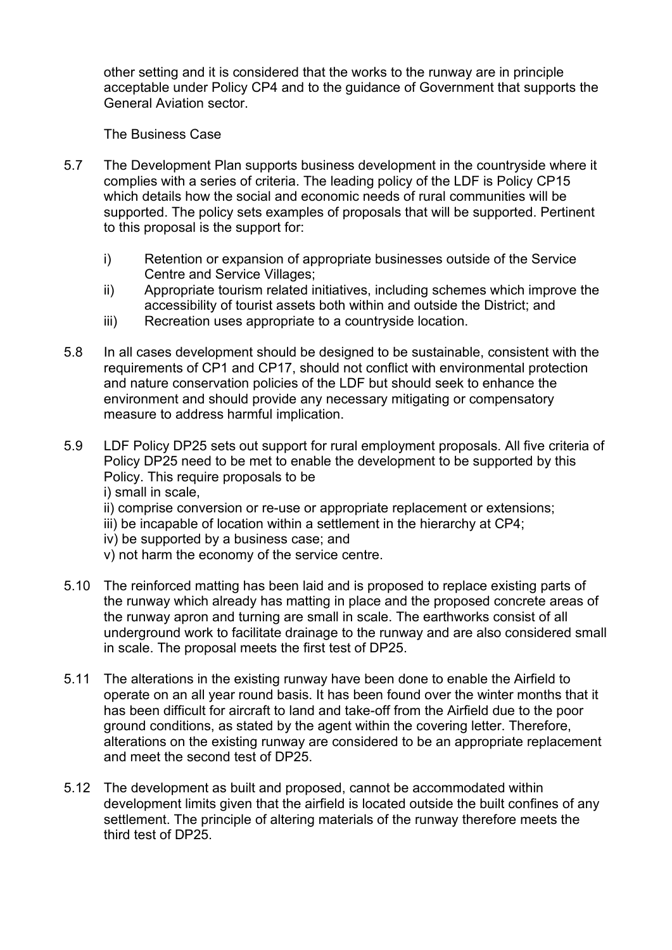other setting and it is considered that the works to the runway are in principle acceptable under Policy CP4 and to the guidance of Government that supports the General Aviation sector.

The Business Case

- 5.7 The Development Plan supports business development in the countryside where it complies with a series of criteria. The leading policy of the LDF is Policy CP15 which details how the social and economic needs of rural communities will be supported. The policy sets examples of proposals that will be supported. Pertinent to this proposal is the support for:
	- i) Retention or expansion of appropriate businesses outside of the Service Centre and Service Villages;
	- ii) Appropriate tourism related initiatives, including schemes which improve the accessibility of tourist assets both within and outside the District; and
	- iii) Recreation uses appropriate to a countryside location.
- 5.8 In all cases development should be designed to be sustainable, consistent with the requirements of CP1 and CP17, should not conflict with environmental protection and nature conservation policies of the LDF but should seek to enhance the environment and should provide any necessary mitigating or compensatory measure to address harmful implication.
- 5.9 LDF Policy DP25 sets out support for rural employment proposals. All five criteria of Policy DP25 need to be met to enable the development to be supported by this Policy. This require proposals to be

i) small in scale,

- ii) comprise conversion or re-use or appropriate replacement or extensions;
- iii) be incapable of location within a settlement in the hierarchy at CP4;
- iv) be supported by a business case; and
- v) not harm the economy of the service centre.
- 5.10 The reinforced matting has been laid and is proposed to replace existing parts of the runway which already has matting in place and the proposed concrete areas of the runway apron and turning are small in scale. The earthworks consist of all underground work to facilitate drainage to the runway and are also considered small in scale. The proposal meets the first test of DP25.
- 5.11 The alterations in the existing runway have been done to enable the Airfield to operate on an all year round basis. It has been found over the winter months that it has been difficult for aircraft to land and take-off from the Airfield due to the poor ground conditions, as stated by the agent within the covering letter. Therefore, alterations on the existing runway are considered to be an appropriate replacement and meet the second test of DP25.
- 5.12 The development as built and proposed, cannot be accommodated within development limits given that the airfield is located outside the built confines of any settlement. The principle of altering materials of the runway therefore meets the third test of DP25.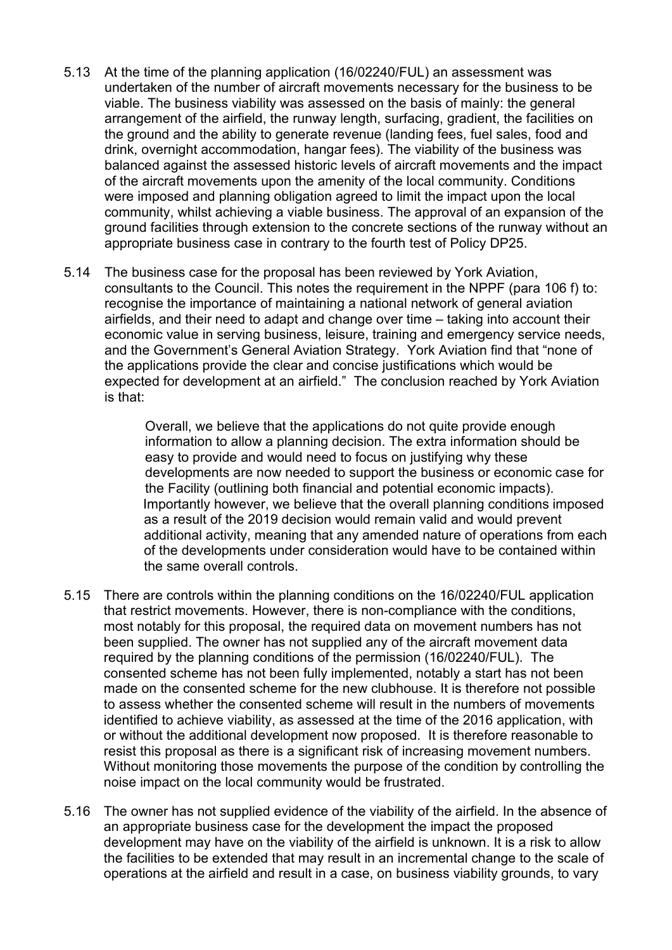- 5.13 At the time of the planning application (16/02240/FUL) an assessment was undertaken of the number of aircraft movements necessary for the business to be viable. The business viability was assessed on the basis of mainly: the general arrangement of the airfield, the runway length, surfacing, gradient, the facilities on the ground and the ability to generate revenue (landing fees, fuel sales, food and drink, overnight accommodation, hangar fees). The viability of the business was balanced against the assessed historic levels of aircraft movements and the impact of the aircraft movements upon the amenity of the local community. Conditions were imposed and planning obligation agreed to limit the impact upon the local community, whilst achieving a viable business. The approval of an expansion of the ground facilities through extension to the concrete sections of the runway without an appropriate business case in contrary to the fourth test of Policy DP25.
- 5.14 The business case for the proposal has been reviewed by York Aviation, consultants to the Council. This notes the requirement in the NPPF (para 106 f) to: recognise the importance of maintaining a national network of general aviation airfields, and their need to adapt and change over time – taking into account their economic value in serving business, leisure, training and emergency service needs, and the Government's General Aviation Strategy. York Aviation find that "none of the applications provide the clear and concise justifications which would be expected for development at an airfield." The conclusion reached by York Aviation is that:

Overall, we believe that the applications do not quite provide enough information to allow a planning decision. The extra information should be easy to provide and would need to focus on justifying why these developments are now needed to support the business or economic case for the Facility (outlining both financial and potential economic impacts). Importantly however, we believe that the overall planning conditions imposed as a result of the 2019 decision would remain valid and would prevent additional activity, meaning that any amended nature of operations from each of the developments under consideration would have to be contained within the same overall controls.

- 5.15 There are controls within the planning conditions on the 16/02240/FUL application that restrict movements. However, there is non-compliance with the conditions, most notably for this proposal, the required data on movement numbers has not been supplied. The owner has not supplied any of the aircraft movement data required by the planning conditions of the permission (16/02240/FUL). The consented scheme has not been fully implemented, notably a start has not been made on the consented scheme for the new clubhouse. It is therefore not possible to assess whether the consented scheme will result in the numbers of movements identified to achieve viability, as assessed at the time of the 2016 application, with or without the additional development now proposed. It is therefore reasonable to resist this proposal as there is a significant risk of increasing movement numbers. Without monitoring those movements the purpose of the condition by controlling the noise impact on the local community would be frustrated.
- 5.16 The owner has not supplied evidence of the viability of the airfield. In the absence of an appropriate business case for the development the impact the proposed development may have on the viability of the airfield is unknown. It is a risk to allow the facilities to be extended that may result in an incremental change to the scale of operations at the airfield and result in a case, on business viability grounds, to vary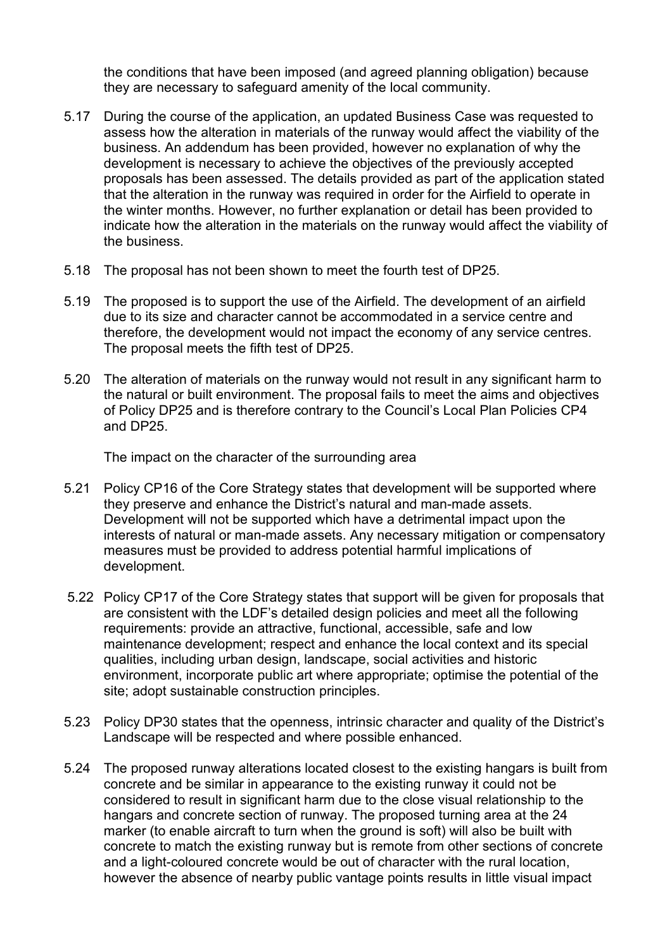the conditions that have been imposed (and agreed planning obligation) because they are necessary to safeguard amenity of the local community.

- 5.17 During the course of the application, an updated Business Case was requested to assess how the alteration in materials of the runway would affect the viability of the business. An addendum has been provided, however no explanation of why the development is necessary to achieve the objectives of the previously accepted proposals has been assessed. The details provided as part of the application stated that the alteration in the runway was required in order for the Airfield to operate in the winter months. However, no further explanation or detail has been provided to indicate how the alteration in the materials on the runway would affect the viability of the business.
- 5.18 The proposal has not been shown to meet the fourth test of DP25.
- 5.19 The proposed is to support the use of the Airfield. The development of an airfield due to its size and character cannot be accommodated in a service centre and therefore, the development would not impact the economy of any service centres. The proposal meets the fifth test of DP25.
- 5.20 The alteration of materials on the runway would not result in any significant harm to the natural or built environment. The proposal fails to meet the aims and objectives of Policy DP25 and is therefore contrary to the Council's Local Plan Policies CP4 and DP25.

The impact on the character of the surrounding area

- 5.21 Policy CP16 of the Core Strategy states that development will be supported where they preserve and enhance the District's natural and man-made assets. Development will not be supported which have a detrimental impact upon the interests of natural or man-made assets. Any necessary mitigation or compensatory measures must be provided to address potential harmful implications of development.
- 5.22 Policy CP17 of the Core Strategy states that support will be given for proposals that are consistent with the LDF's detailed design policies and meet all the following requirements: provide an attractive, functional, accessible, safe and low maintenance development; respect and enhance the local context and its special qualities, including urban design, landscape, social activities and historic environment, incorporate public art where appropriate; optimise the potential of the site; adopt sustainable construction principles.
- 5.23 Policy DP30 states that the openness, intrinsic character and quality of the District's Landscape will be respected and where possible enhanced.
- 5.24 The proposed runway alterations located closest to the existing hangars is built from concrete and be similar in appearance to the existing runway it could not be considered to result in significant harm due to the close visual relationship to the hangars and concrete section of runway. The proposed turning area at the 24 marker (to enable aircraft to turn when the ground is soft) will also be built with concrete to match the existing runway but is remote from other sections of concrete and a light-coloured concrete would be out of character with the rural location, however the absence of nearby public vantage points results in little visual impact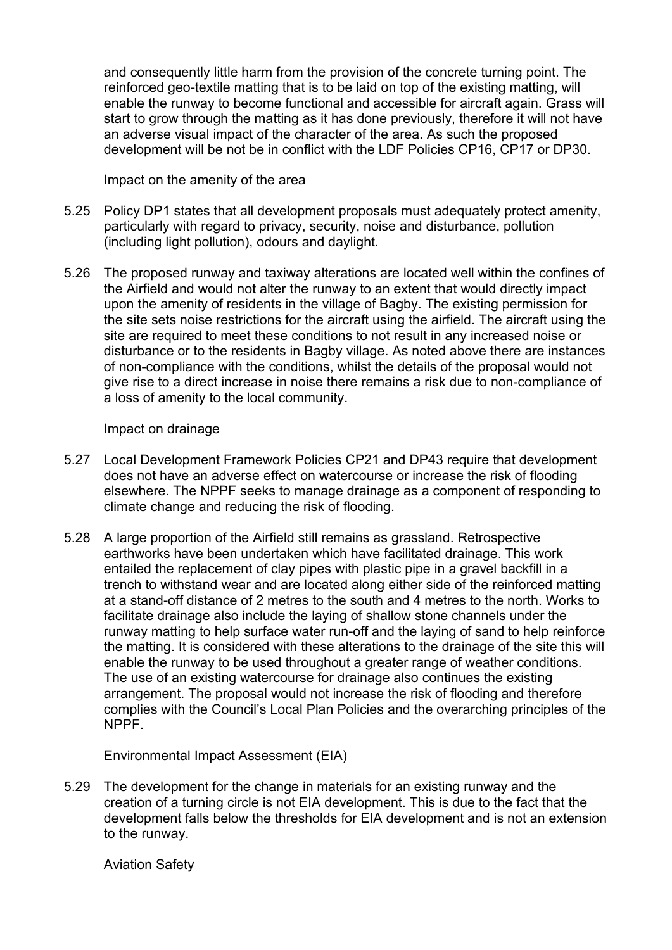and consequently little harm from the provision of the concrete turning point. The reinforced geo-textile matting that is to be laid on top of the existing matting, will enable the runway to become functional and accessible for aircraft again. Grass will start to grow through the matting as it has done previously, therefore it will not have an adverse visual impact of the character of the area. As such the proposed development will be not be in conflict with the LDF Policies CP16, CP17 or DP30.

Impact on the amenity of the area

- 5.25 Policy DP1 states that all development proposals must adequately protect amenity, particularly with regard to privacy, security, noise and disturbance, pollution (including light pollution), odours and daylight.
- 5.26 The proposed runway and taxiway alterations are located well within the confines of the Airfield and would not alter the runway to an extent that would directly impact upon the amenity of residents in the village of Bagby. The existing permission for the site sets noise restrictions for the aircraft using the airfield. The aircraft using the site are required to meet these conditions to not result in any increased noise or disturbance or to the residents in Bagby village. As noted above there are instances of non-compliance with the conditions, whilst the details of the proposal would not give rise to a direct increase in noise there remains a risk due to non-compliance of a loss of amenity to the local community.

#### Impact on drainage

- 5.27 Local Development Framework Policies CP21 and DP43 require that development does not have an adverse effect on watercourse or increase the risk of flooding elsewhere. The NPPF seeks to manage drainage as a component of responding to climate change and reducing the risk of flooding.
- 5.28 A large proportion of the Airfield still remains as grassland. Retrospective earthworks have been undertaken which have facilitated drainage. This work entailed the replacement of clay pipes with plastic pipe in a gravel backfill in a trench to withstand wear and are located along either side of the reinforced matting at a stand-off distance of 2 metres to the south and 4 metres to the north. Works to facilitate drainage also include the laying of shallow stone channels under the runway matting to help surface water run-off and the laying of sand to help reinforce the matting. It is considered with these alterations to the drainage of the site this will enable the runway to be used throughout a greater range of weather conditions. The use of an existing watercourse for drainage also continues the existing arrangement. The proposal would not increase the risk of flooding and therefore complies with the Council's Local Plan Policies and the overarching principles of the NPPF.

Environmental Impact Assessment (EIA)

5.29 The development for the change in materials for an existing runway and the creation of a turning circle is not EIA development. This is due to the fact that the development falls below the thresholds for EIA development and is not an extension to the runway.

Aviation Safety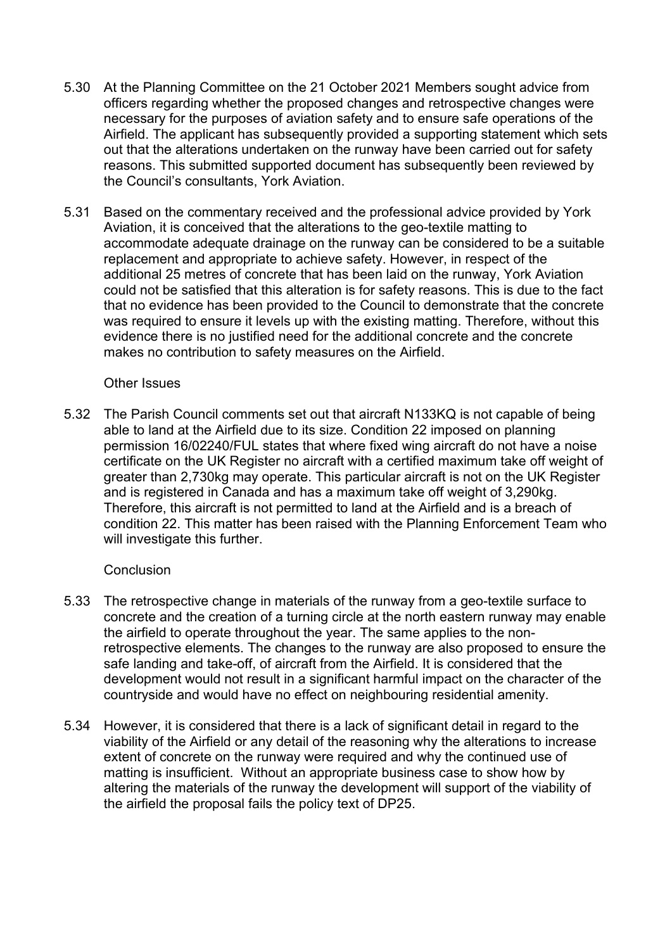- 5.30 At the Planning Committee on the 21 October 2021 Members sought advice from officers regarding whether the proposed changes and retrospective changes were necessary for the purposes of aviation safety and to ensure safe operations of the Airfield. The applicant has subsequently provided a supporting statement which sets out that the alterations undertaken on the runway have been carried out for safety reasons. This submitted supported document has subsequently been reviewed by the Council's consultants, York Aviation.
- 5.31 Based on the commentary received and the professional advice provided by York Aviation, it is conceived that the alterations to the geo-textile matting to accommodate adequate drainage on the runway can be considered to be a suitable replacement and appropriate to achieve safety. However, in respect of the additional 25 metres of concrete that has been laid on the runway, York Aviation could not be satisfied that this alteration is for safety reasons. This is due to the fact that no evidence has been provided to the Council to demonstrate that the concrete was required to ensure it levels up with the existing matting. Therefore, without this evidence there is no justified need for the additional concrete and the concrete makes no contribution to safety measures on the Airfield.

#### Other Issues

5.32 The Parish Council comments set out that aircraft N133KQ is not capable of being able to land at the Airfield due to its size. Condition 22 imposed on planning permission 16/02240/FUL states that where fixed wing aircraft do not have a noise certificate on the UK Register no aircraft with a certified maximum take off weight of greater than 2,730kg may operate. This particular aircraft is not on the UK Register and is registered in Canada and has a maximum take off weight of 3,290kg. Therefore, this aircraft is not permitted to land at the Airfield and is a breach of condition 22. This matter has been raised with the Planning Enforcement Team who will investigate this further.

### **Conclusion**

- 5.33 The retrospective change in materials of the runway from a geo-textile surface to concrete and the creation of a turning circle at the north eastern runway may enable the airfield to operate throughout the year. The same applies to the nonretrospective elements. The changes to the runway are also proposed to ensure the safe landing and take-off, of aircraft from the Airfield. It is considered that the development would not result in a significant harmful impact on the character of the countryside and would have no effect on neighbouring residential amenity.
- 5.34 However, it is considered that there is a lack of significant detail in regard to the viability of the Airfield or any detail of the reasoning why the alterations to increase extent of concrete on the runway were required and why the continued use of matting is insufficient. Without an appropriate business case to show how by altering the materials of the runway the development will support of the viability of the airfield the proposal fails the policy text of DP25.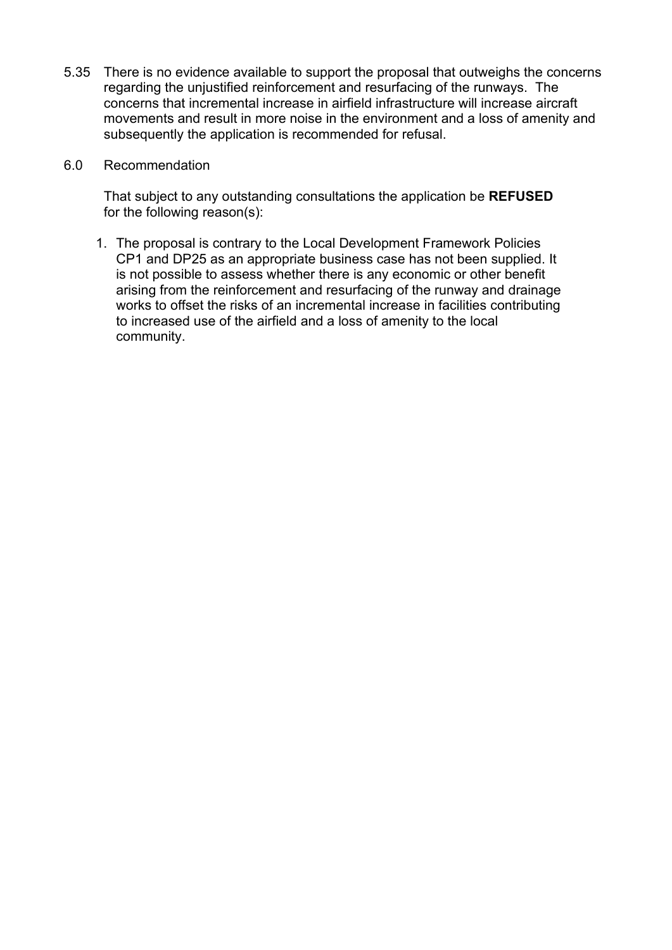- 5.35 There is no evidence available to support the proposal that outweighs the concerns regarding the unjustified reinforcement and resurfacing of the runways. The concerns that incremental increase in airfield infrastructure will increase aircraft movements and result in more noise in the environment and a loss of amenity and subsequently the application is recommended for refusal.
- 6.0 Recommendation

That subject to any outstanding consultations the application be **REFUSED** for the following reason(s):

1. The proposal is contrary to the Local Development Framework Policies CP1 and DP25 as an appropriate business case has not been supplied. It is not possible to assess whether there is any economic or other benefit arising from the reinforcement and resurfacing of the runway and drainage works to offset the risks of an incremental increase in facilities contributing to increased use of the airfield and a loss of amenity to the local community.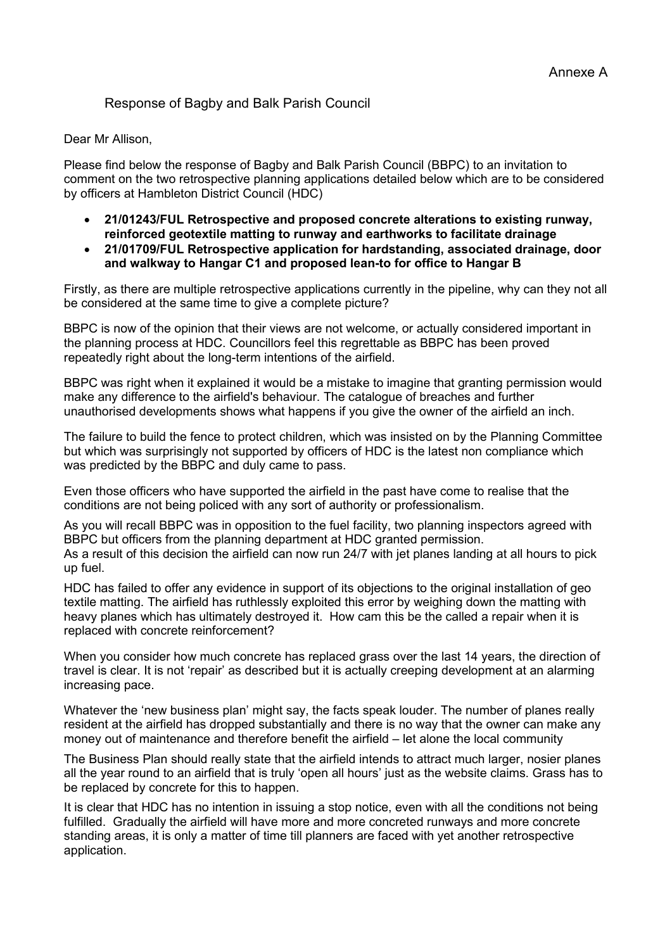# Response of Bagby and Balk Parish Council

#### Dear Mr Allison,

Please find below the response of Bagby and Balk Parish Council (BBPC) to an invitation to comment on the two retrospective planning applications detailed below which are to be considered by officers at Hambleton District Council (HDC)

- **21/01243/FUL Retrospective and proposed concrete alterations to existing runway, reinforced geotextile matting to runway and earthworks to facilitate drainage**
- **21/01709/FUL Retrospective application for hardstanding, associated drainage, door and walkway to Hangar C1 and proposed lean-to for office to Hangar B**

Firstly, as there are multiple retrospective applications currently in the pipeline, why can they not all be considered at the same time to give a complete picture?

BBPC is now of the opinion that their views are not welcome, or actually considered important in the planning process at HDC. Councillors feel this regrettable as BBPC has been proved repeatedly right about the long-term intentions of the airfield.

BBPC was right when it explained it would be a mistake to imagine that granting permission would make any difference to the airfield's behaviour. The catalogue of breaches and further unauthorised developments shows what happens if you give the owner of the airfield an inch.

The failure to build the fence to protect children, which was insisted on by the Planning Committee but which was surprisingly not supported by officers of HDC is the latest non compliance which was predicted by the BBPC and duly came to pass.

Even those officers who have supported the airfield in the past have come to realise that the conditions are not being policed with any sort of authority or professionalism.

As you will recall BBPC was in opposition to the fuel facility, two planning inspectors agreed with BBPC but officers from the planning department at HDC granted permission. As a result of this decision the airfield can now run 24/7 with jet planes landing at all hours to pick up fuel.

HDC has failed to offer any evidence in support of its objections to the original installation of geo textile matting. The airfield has ruthlessly exploited this error by weighing down the matting with heavy planes which has ultimately destroyed it. How cam this be the called a repair when it is replaced with concrete reinforcement?

When you consider how much concrete has replaced grass over the last 14 years, the direction of travel is clear. It is not 'repair' as described but it is actually creeping development at an alarming increasing pace.

Whatever the 'new business plan' might say, the facts speak louder. The number of planes really resident at the airfield has dropped substantially and there is no way that the owner can make any money out of maintenance and therefore benefit the airfield – let alone the local community

The Business Plan should really state that the airfield intends to attract much larger, nosier planes all the year round to an airfield that is truly 'open all hours' just as the website claims. Grass has to be replaced by concrete for this to happen.

It is clear that HDC has no intention in issuing a stop notice, even with all the conditions not being fulfilled. Gradually the airfield will have more and more concreted runways and more concrete standing areas, it is only a matter of time till planners are faced with yet another retrospective application.